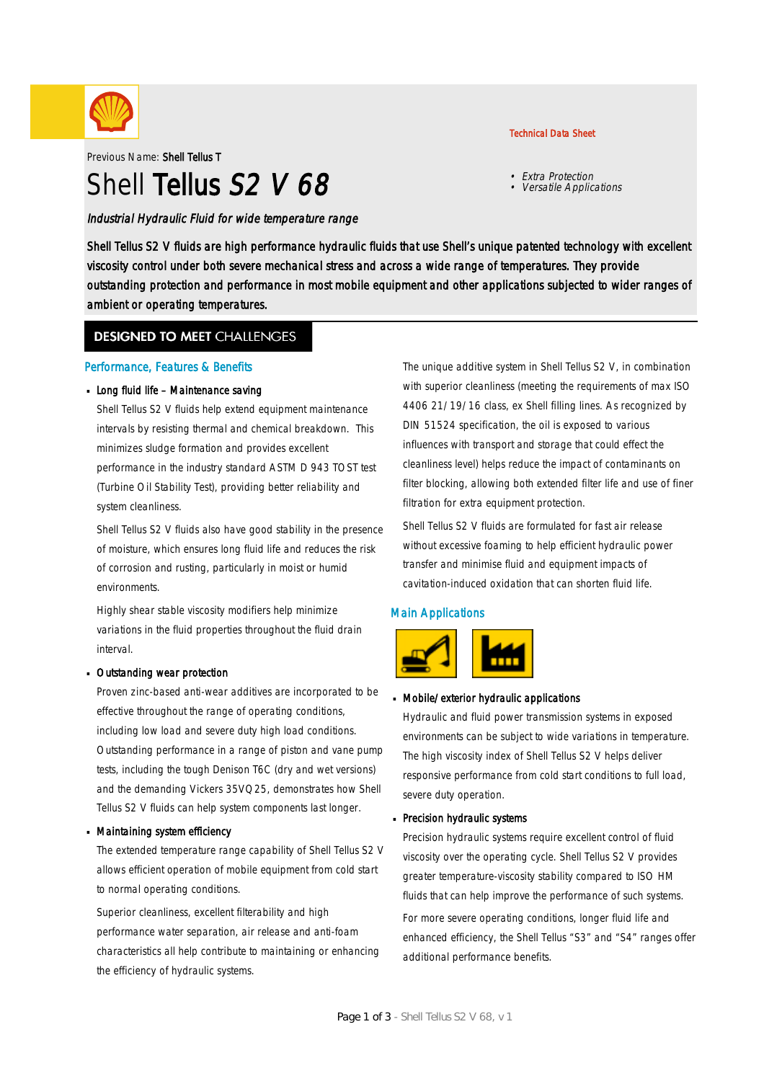

Previous Name: Shell Tellus T

# Shell Tellus S<sub>2</sub> V 68

Industrial Hydraulic Fluid for wide temperature range

#### Technical Data Sheet

- Extra Protection
- Versatile Applications

Shell Tellus S2 V fluids are high performance hydraulic fluids that use Shell's unique patented technology with excellent viscosity control under both severe mechanical stress and across a wide range of temperatures. They provide outstanding protection and performance in most mobile equipment and other applications subjected to wider ranges of ambient or operating temperatures.

### **DESIGNED TO MEET CHALLENGES**

#### Performance, Features & Benefits

#### Long fluid life - Maintenance saving

Shell Tellus S2 V fluids help extend equipment maintenance intervals by resisting thermal and chemical breakdown. This minimizes sludge formation and provides excellent performance in the industry standard ASTM D 943 TOST test (Turbine Oil Stability Test), providing better reliability and system cleanliness.

Shell Tellus S2 V fluids also have good stability in the presence of moisture, which ensures long fluid life and reduces the risk of corrosion and rusting, particularly in moist or humid environments.

Highly shear stable viscosity modifiers help minimize variations in the fluid properties throughout the fluid drain interval.

#### Outstanding wear protection ·

Proven zinc-based anti-wear additives are incorporated to be effective throughout the range of operating conditions, including low load and severe duty high load conditions. Outstanding performance in a range of piston and vane pump tests, including the tough Denison T6C (dry and wet versions) and the demanding Vickers 35VQ25, demonstrates how Shell Tellus S2 V fluids can help system components last longer.

#### Maintaining system efficiency ·

The extended temperature range capability of Shell Tellus S2 V allows efficient operation of mobile equipment from cold start to normal operating conditions.

Superior cleanliness, excellent filterability and high performance water separation, air release and anti-foam characteristics all help contribute to maintaining or enhancing the efficiency of hydraulic systems.

The unique additive system in Shell Tellus S2 V, in combination with superior cleanliness (meeting the requirements of max ISO 4406 21/19/16 class, ex Shell filling lines. As recognized by DIN 51524 specification, the oil is exposed to various influences with transport and storage that could effect the cleanliness level) helps reduce the impact of contaminants on filter blocking, allowing both extended filter life and use of finer filtration for extra equipment protection.

Shell Tellus S2 V fluids are formulated for fast air release without excessive foaming to help efficient hydraulic power transfer and minimise fluid and equipment impacts of cavitation-induced oxidation that can shorten fluid life.

#### Main Applications



## Mobile/exterior hydraulic applications ·

Hydraulic and fluid power transmission systems in exposed environments can be subject to wide variations in temperature. The high viscosity index of Shell Tellus S2 V helps deliver responsive performance from cold start conditions to full load, severe duty operation.

## Precision hydraulic systems ·

Precision hydraulic systems require excellent control of fluid viscosity over the operating cycle. Shell Tellus S2 V provides greater temperature-viscosity stability compared to ISO HM fluids that can help improve the performance of such systems. For more severe operating conditions, longer fluid life and enhanced efficiency, the Shell Tellus "S3" and "S4" ranges offer additional performance benefits.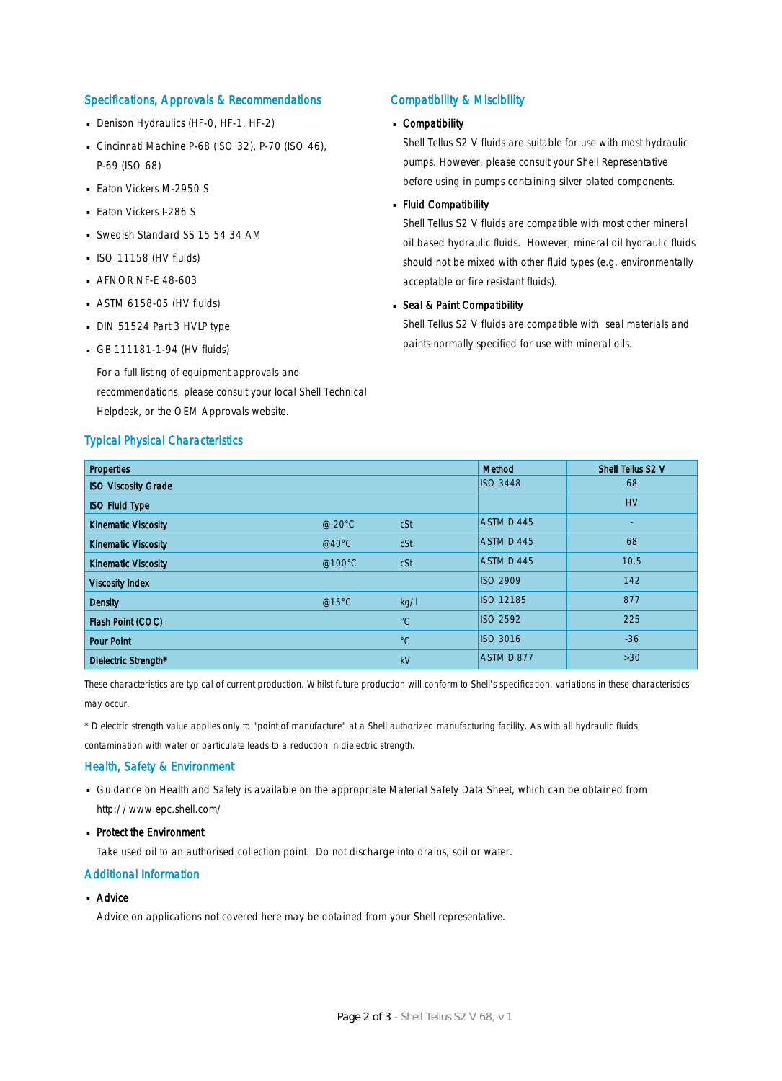#### Specifications, Approvals & Recommendations

- Denison Hydraulics (HF-0, HF-1, HF-2)
- Cincinnati Machine P-68 (ISO 32), P-70 (ISO 46), P-69 (ISO 68)
- **Eaton Vickers M-2950 S**
- **Eaton Vickers I-286 S**
- Swedish Standard SS 15 54 34 AM
- $\blacksquare$  ISO 11158 (HV fluids)
- **AFNOR NF-E 48-603**
- $-$  ASTM 6158-05 (HV fluids)
- DIN 51524 Part 3 HVLP type
- $-$  GB 111181-1-94 (HV fluids)

For a full listing of equipment approvals and recommendations, please consult your local Shell Technical Helpdesk, or the OEM Approvals website.

#### Typical Physical Characteristics

#### Compatibility & Miscibility

## Compatibility ·

Shell Tellus S2 V fluids are suitable for use with most hydraulic pumps. However, please consult your Shell Representative before using in pumps containing silver plated components.

## - Fluid Compatibility

Shell Tellus S2 V fluids are compatible with most other mineral oil based hydraulic fluids. However, mineral oil hydraulic fluids should not be mixed with other fluid types (e.g. environmentally acceptable or fire resistant fluids).

## Seal & Paint Compatibility

Shell Tellus S2 V fluids are compatible with seal materials and paints normally specified for use with mineral oils.

| <b>Properties</b>          |          |             | Method           | Shell Tellus S2 V |
|----------------------------|----------|-------------|------------------|-------------------|
| <b>ISO Viscosity Grade</b> |          |             | <b>ISO 3448</b>  | 68                |
| <b>ISO Fluid Type</b>      |          |             |                  | <b>HV</b>         |
| <b>Kinematic Viscosity</b> | $@-20°C$ | cSt         | ASTM D 445       | ٠                 |
| <b>Kinematic Viscosity</b> | @40°C    | cSt         | ASTM D 445       | 68                |
| <b>Kinematic Viscosity</b> | @100°C   | cSt         | ASTM D 445       | 10.5              |
| <b>Viscosity Index</b>     |          |             | <b>ISO 2909</b>  | 142               |
| <b>Density</b>             | @15 $°C$ | kq/l        | <b>ISO 12185</b> | 877               |
| Flash Point (COC)          |          | $^{\circ}C$ | <b>ISO 2592</b>  | 225               |
| <b>Pour Point</b>          |          | $^{\circ}C$ | <b>ISO 3016</b>  | $-36$             |
| Dielectric Strength*       |          | kV          | ASTM D 877       | $>30$             |

These characteristics are typical of current production. Whilst future production will conform to Shell's specification, variations in these characteristics may occur.

\* Dielectric strength value applies only to "point of manufacture" at a Shell authorized manufacturing facility. As with all hydraulic fluids,

contamination with water or particulate leads to a reduction in dielectric strength.

#### Health, Safety & Environment

■ Guidance on Health and Safety is available on the appropriate Material Safety Data Sheet, which can be obtained from http://www.epc.shell.com/

## • Protect the Environment

Take used oil to an authorised collection point. Do not discharge into drains, soil or water.

#### Additional Information

## ■ Advice

Advice on applications not covered here may be obtained from your Shell representative.